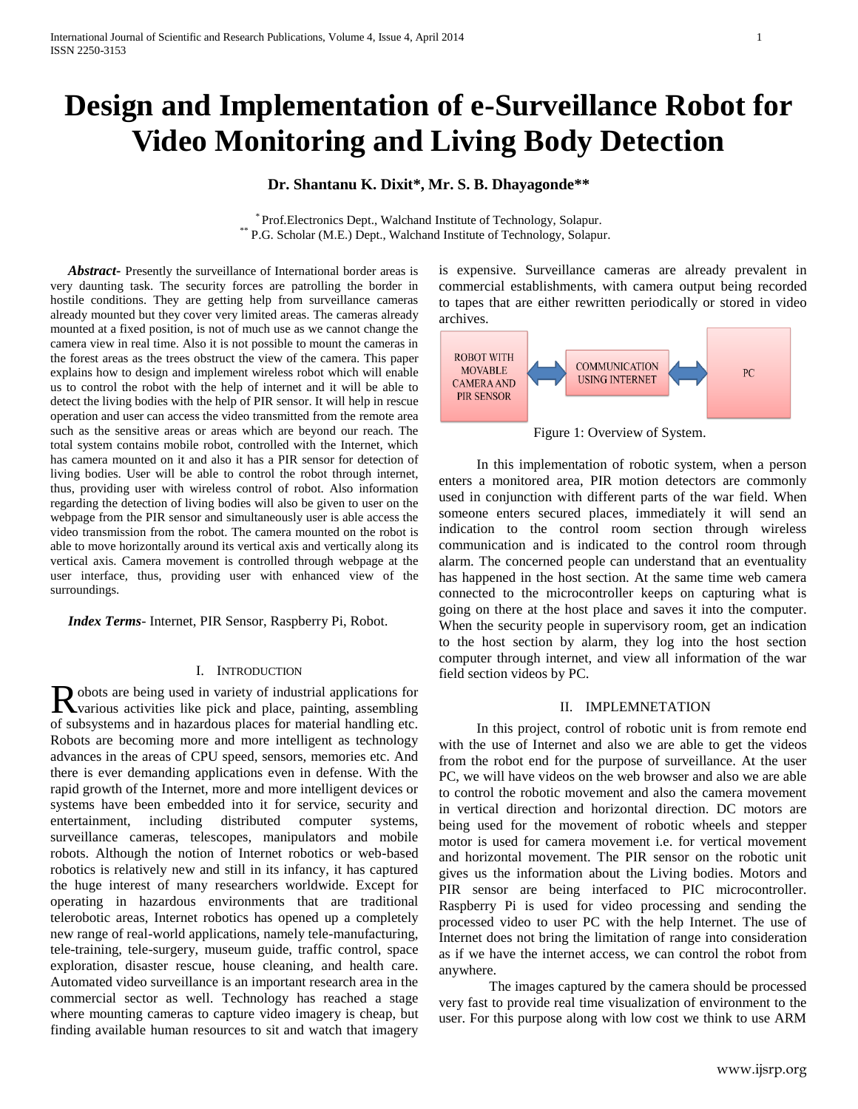# **Design and Implementation of e-Surveillance Robot for Video Monitoring and Living Body Detection**

## **Dr. Shantanu K. Dixit\*, Mr. S. B. Dhayagonde\*\***

\* Prof.Electronics Dept., Walchand Institute of Technology, Solapur. \*\* P.G. Scholar (M.E.) Dept., Walchand Institute of Technology, Solapur.

 *Abstract***-** Presently the surveillance of International border areas is very daunting task. The security forces are patrolling the border in hostile conditions. They are getting help from surveillance cameras already mounted but they cover very limited areas. The cameras already mounted at a fixed position, is not of much use as we cannot change the camera view in real time. Also it is not possible to mount the cameras in the forest areas as the trees obstruct the view of the camera. This paper explains how to design and implement wireless robot which will enable us to control the robot with the help of internet and it will be able to detect the living bodies with the help of PIR sensor. It will help in rescue operation and user can access the video transmitted from the remote area such as the sensitive areas or areas which are beyond our reach. The total system contains mobile robot, controlled with the Internet, which has camera mounted on it and also it has a PIR sensor for detection of living bodies. User will be able to control the robot through internet, thus, providing user with wireless control of robot. Also information regarding the detection of living bodies will also be given to user on the webpage from the PIR sensor and simultaneously user is able access the video transmission from the robot. The camera mounted on the robot is able to move horizontally around its vertical axis and vertically along its vertical axis. Camera movement is controlled through webpage at the user interface, thus, providing user with enhanced view of the surroundings.

 *Index Terms*- Internet, PIR Sensor, Raspberry Pi, Robot.

## I. INTRODUCTION

obots are being used in variety of industrial applications for Robots are being used in variety of industrial applications for various activities like pick and place, painting, assembling of subsystems and in hazardous places for material handling etc. Robots are becoming more and more intelligent as technology advances in the areas of CPU speed, sensors, memories etc. And there is ever demanding applications even in defense. With the rapid growth of the Internet, more and more intelligent devices or systems have been embedded into it for service, security and entertainment, including distributed computer systems, surveillance cameras, telescopes, manipulators and mobile robots. Although the notion of Internet robotics or web-based robotics is relatively new and still in its infancy, it has captured the huge interest of many researchers worldwide. Except for operating in hazardous environments that are traditional telerobotic areas, Internet robotics has opened up a completely new range of real-world applications, namely tele-manufacturing, tele-training, tele-surgery, museum guide, traffic control, space exploration, disaster rescue, house cleaning, and health care. Automated video surveillance is an important research area in the commercial sector as well. Technology has reached a stage where mounting cameras to capture video imagery is cheap, but finding available human resources to sit and watch that imagery

is expensive. Surveillance cameras are already prevalent in commercial establishments, with camera output being recorded to tapes that are either rewritten periodically or stored in video archives.



Figure 1: Overview of System.

In this implementation of robotic system, when a person enters a monitored area, PIR motion detectors are commonly used in conjunction with different parts of the war field. When someone enters secured places, immediately it will send an indication to the control room section through wireless communication and is indicated to the control room through alarm. The concerned people can understand that an eventuality has happened in the host section. At the same time web camera connected to the microcontroller keeps on capturing what is going on there at the host place and saves it into the computer. When the security people in supervisory room, get an indication to the host section by alarm, they log into the host section computer through internet, and view all information of the war field section videos by PC.

## II. IMPLEMNETATION

In this project, control of robotic unit is from remote end with the use of Internet and also we are able to get the videos from the robot end for the purpose of surveillance. At the user PC, we will have videos on the web browser and also we are able to control the robotic movement and also the camera movement in vertical direction and horizontal direction. DC motors are being used for the movement of robotic wheels and stepper motor is used for camera movement i.e. for vertical movement and horizontal movement. The PIR sensor on the robotic unit gives us the information about the Living bodies. Motors and PIR sensor are being interfaced to PIC microcontroller. Raspberry Pi is used for video processing and sending the processed video to user PC with the help Internet. The use of Internet does not bring the limitation of range into consideration as if we have the internet access, we can control the robot from anywhere.

The images captured by the camera should be processed very fast to provide real time visualization of environment to the user. For this purpose along with low cost we think to use ARM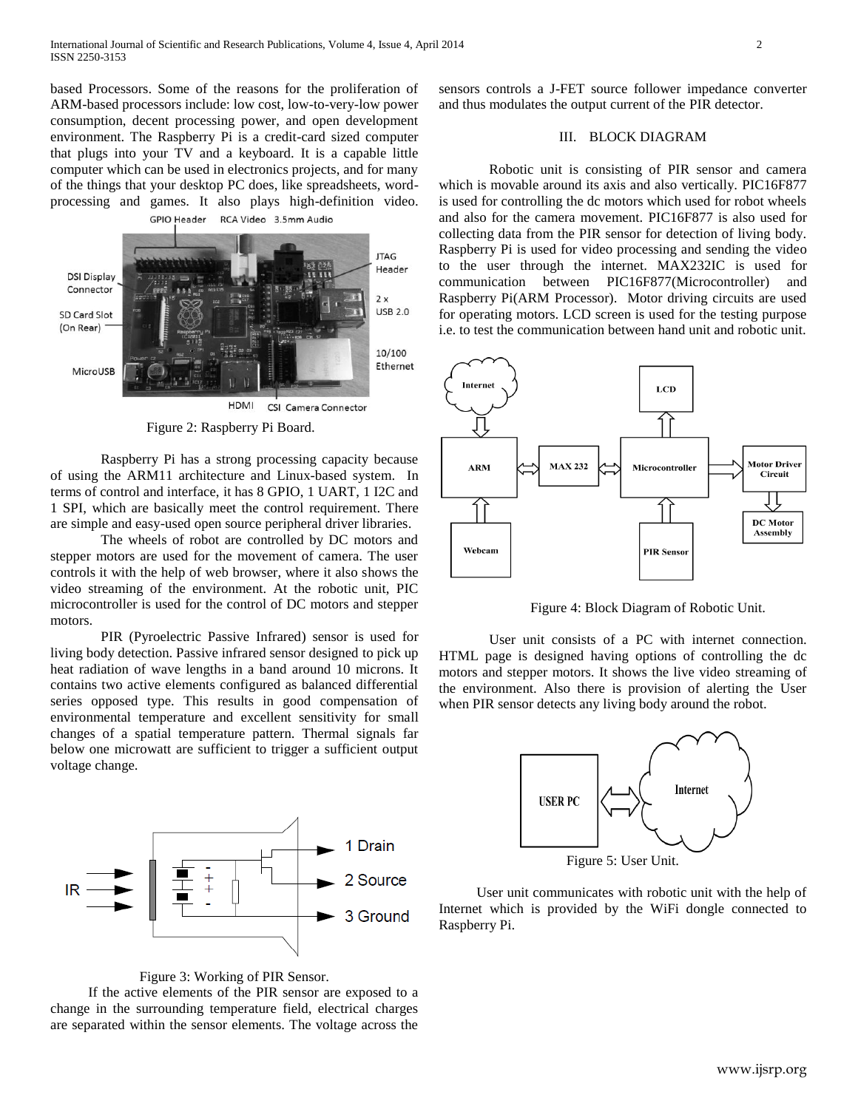based Processors. Some of the reasons for the proliferation of ARM-based processors include: low cost, low-to-very-low power consumption, decent processing power, and open development environment. The Raspberry Pi is a credit-card sized computer that plugs into your TV and a keyboard. It is a capable little computer which can be used in electronics projects, and for many of the things that your desktop PC does, like spreadsheets, wordprocessing and games. It also plays high-definition video. GPIO Header RCA Video 3.5mm Audio



HDMI CSI Camera Connector

Figure 2: Raspberry Pi Board.

Raspberry Pi has a strong processing capacity because of using the ARM11 architecture and Linux-based system. In terms of control and interface, it has 8 GPIO, 1 UART, 1 I2C and 1 SPI, which are basically meet the control requirement. There are simple and easy-used open source peripheral driver libraries.

The wheels of robot are controlled by DC motors and stepper motors are used for the movement of camera. The user controls it with the help of web browser, where it also shows the video streaming of the environment. At the robotic unit, PIC microcontroller is used for the control of DC motors and stepper motors.

PIR (Pyroelectric Passive Infrared) sensor is used for living body detection. Passive infrared sensor designed to pick up heat radiation of wave lengths in a band around 10 microns. It contains two active elements configured as balanced differential series opposed type. This results in good compensation of environmental temperature and excellent sensitivity for small changes of a spatial temperature pattern. Thermal signals far below one microwatt are sufficient to trigger a sufficient output voltage change.



Figure 3: Working of PIR Sensor.

If the active elements of the PIR sensor are exposed to a change in the surrounding temperature field, electrical charges are separated within the sensor elements. The voltage across the sensors controls a J-FET source follower impedance converter and thus modulates the output current of the PIR detector.

## III. BLOCK DIAGRAM

Robotic unit is consisting of PIR sensor and camera which is movable around its axis and also vertically. PIC16F877 is used for controlling the dc motors which used for robot wheels and also for the camera movement. PIC16F877 is also used for collecting data from the PIR sensor for detection of living body. Raspberry Pi is used for video processing and sending the video to the user through the internet. MAX232IC is used for communication between PIC16F877(Microcontroller) and Raspberry Pi(ARM Processor). Motor driving circuits are used for operating motors. LCD screen is used for the testing purpose i.e. to test the communication between hand unit and robotic unit.



Figure 4: Block Diagram of Robotic Unit.

User unit consists of a PC with internet connection. HTML page is designed having options of controlling the dc motors and stepper motors. It shows the live video streaming of the environment. Also there is provision of alerting the User when PIR sensor detects any living body around the robot.



Figure 5: User Unit.

User unit communicates with robotic unit with the help of Internet which is provided by the WiFi dongle connected to Raspberry Pi.